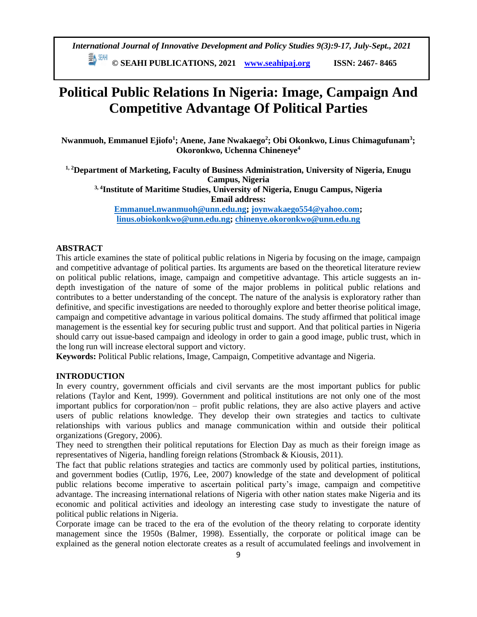*International Journal of Innovative Development and Policy Studies 9(3):9-17, July-Sept., 2021*

**© SEAHI PUBLICATIONS, 2021 [www.seahipaj.org](http://www.seahipaj.org/) ISSN: 2467- 8465**

# **Political Public Relations In Nigeria: Image, Campaign And Competitive Advantage Of Political Parties**

**Nwanmuoh, Emmanuel Ejiofo<sup>1</sup> ; Anene, Jane Nwakaego<sup>2</sup> ; Obi Okonkwo, Linus Chimagufunam<sup>3</sup> ; Okoronkwo, Uchenna Chineneye<sup>4</sup>**

**1, 2Department of Marketing, Faculty of Business Administration, University of Nigeria, Enugu Campus, Nigeria 3, 4Institute of Maritime Studies, University of Nigeria, Enugu Campus, Nigeria Email address: [Emmanuel.nwanmuoh@unn.edu.ng;](mailto:Emmanuel.nwanmuoh@unn.edu.ng) [joynwakaego554@yahoo.com;](mailto:joynwakaego554@yahoo.com) [linus.obiokonkwo@unn.edu.ng;](mailto:linus.obiokonkwo@unn.edu.ng) [chinenye.okoronkwo@unn.edu.ng](mailto:chinenye.okoronkwo@unn.edu.ng)**

## **ABSTRACT**

This article examines the state of political public relations in Nigeria by focusing on the image, campaign and competitive advantage of political parties. Its arguments are based on the theoretical literature review on political public relations, image, campaign and competitive advantage. This article suggests an indepth investigation of the nature of some of the major problems in political public relations and contributes to a better understanding of the concept. The nature of the analysis is exploratory rather than definitive, and specific investigations are needed to thoroughly explore and better theorise political image, campaign and competitive advantage in various political domains. The study affirmed that political image management is the essential key for securing public trust and support. And that political parties in Nigeria should carry out issue-based campaign and ideology in order to gain a good image, public trust, which in the long run will increase electoral support and victory.

**Keywords:** Political Public relations, Image, Campaign, Competitive advantage and Nigeria.

## **INTRODUCTION**

In every country, government officials and civil servants are the most important publics for public relations (Taylor and Kent, 1999). Government and political institutions are not only one of the most important publics for corporation/non – profit public relations, they are also active players and active users of public relations knowledge. They develop their own strategies and tactics to cultivate relationships with various publics and manage communication within and outside their political organizations (Gregory, 2006).

They need to strengthen their political reputations for Election Day as much as their foreign image as representatives of Nigeria, handling foreign relations (Stromback & Kiousis, 2011).

The fact that public relations strategies and tactics are commonly used by political parties, institutions, and government bodies (Cutlip, 1976, Lee, 2007) knowledge of the state and development of political public relations become imperative to ascertain political party's image, campaign and competitive advantage. The increasing international relations of Nigeria with other nation states make Nigeria and its economic and political activities and ideology an interesting case study to investigate the nature of political public relations in Nigeria.

Corporate image can be traced to the era of the evolution of the theory relating to corporate identity management since the 1950s (Balmer, 1998). Essentially, the corporate or political image can be explained as the general notion electorate creates as a result of accumulated feelings and involvement in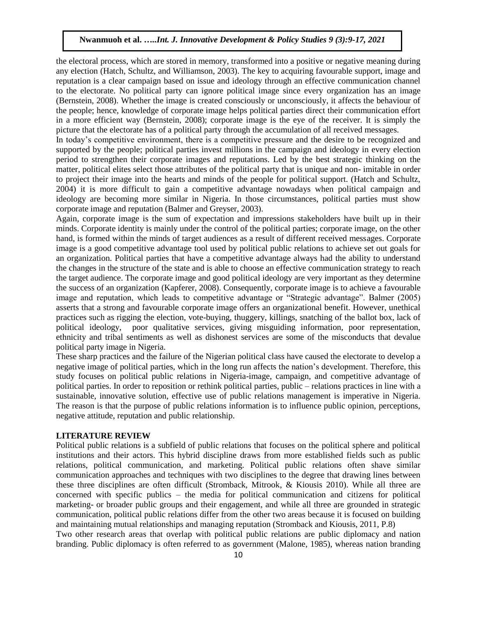the electoral process, which are stored in memory, transformed into a positive or negative meaning during any election (Hatch, Schultz, and Williamson, 2003). The key to acquiring favourable support, image and reputation is a clear campaign based on issue and ideology through an effective communication channel to the electorate. No political party can ignore political image since every organization has an image (Bernstein, 2008). Whether the image is created consciously or unconsciously, it affects the behaviour of the people; hence, knowledge of corporate image helps political parties direct their communication effort in a more efficient way (Bernstein, 2008); corporate image is the eye of the receiver. It is simply the picture that the electorate has of a political party through the accumulation of all received messages.

In today's competitive environment, there is a competitive pressure and the desire to be recognized and supported by the people; political parties invest millions in the campaign and ideology in every election period to strengthen their corporate images and reputations. Led by the best strategic thinking on the matter, political elites select those attributes of the political party that is unique and non- imitable in order to project their image into the hearts and minds of the people for political support. (Hatch and Schultz, 2004) it is more difficult to gain a competitive advantage nowadays when political campaign and ideology are becoming more similar in Nigeria. In those circumstances, political parties must show corporate image and reputation (Balmer and Greyser, 2003).

Again, corporate image is the sum of expectation and impressions stakeholders have built up in their minds. Corporate identity is mainly under the control of the political parties; corporate image, on the other hand, is formed within the minds of target audiences as a result of different received messages. Corporate image is a good competitive advantage tool used by political public relations to achieve set out goals for an organization. Political parties that have a competitive advantage always had the ability to understand the changes in the structure of the state and is able to choose an effective communication strategy to reach the target audience. The corporate image and good political ideology are very important as they determine the success of an organization (Kapferer, 2008). Consequently, corporate image is to achieve a favourable image and reputation, which leads to competitive advantage or "Strategic advantage". Balmer (2005) asserts that a strong and favourable corporate image offers an organizational benefit. However, unethical practices such as rigging the election, vote-buying, thuggery, killings, snatching of the ballot box, lack of political ideology, poor qualitative services, giving misguiding information, poor representation, ethnicity and tribal sentiments as well as dishonest services are some of the misconducts that devalue political party image in Nigeria.

These sharp practices and the failure of the Nigerian political class have caused the electorate to develop a negative image of political parties, which in the long run affects the nation's development. Therefore, this study focuses on political public relations in Nigeria-image, campaign, and competitive advantage of political parties. In order to reposition or rethink political parties, public – relations practices in line with a sustainable, innovative solution, effective use of public relations management is imperative in Nigeria. The reason is that the purpose of public relations information is to influence public opinion, perceptions, negative attitude, reputation and public relationship.

#### **LITERATURE REVIEW**

Political public relations is a subfield of public relations that focuses on the political sphere and political institutions and their actors. This hybrid discipline draws from more established fields such as public relations, political communication, and marketing. Political public relations often shave similar communication approaches and techniques with two disciplines to the degree that drawing lines between these three disciplines are often difficult (Stromback, Mitrook, & Kiousis 2010). While all three are concerned with specific publics – the media for political communication and citizens for political marketing- or broader public groups and their engagement, and while all three are grounded in strategic communication, political public relations differ from the other two areas because it is focused on building and maintaining mutual relationships and managing reputation (Stromback and Kiousis, 2011, P.8) Two other research areas that overlap with political public relations are public diplomacy and nation

branding. Public diplomacy is often referred to as government (Malone, 1985), whereas nation branding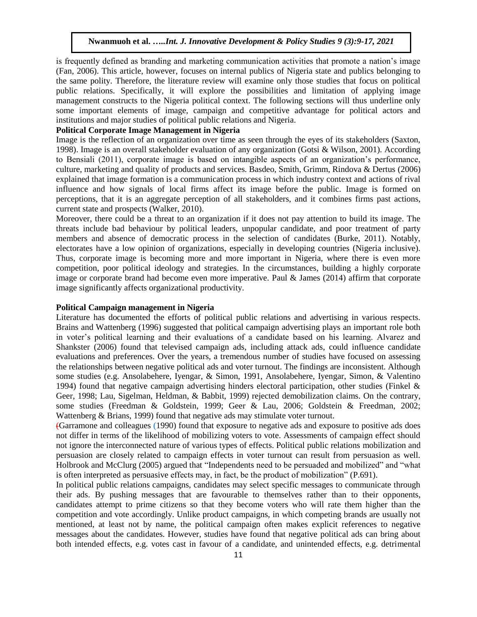is frequently defined as branding and marketing communication activities that promote a nation's image (Fan, 2006). This article, however, focuses on internal publics of Nigeria state and publics belonging to the same polity. Therefore, the literature review will examine only those studies that focus on political public relations. Specifically, it will explore the possibilities and limitation of applying image management constructs to the Nigeria political context. The following sections will thus underline only some important elements of image, campaign and competitive advantage for political actors and institutions and major studies of political public relations and Nigeria.

# **Political Corporate Image Management in Nigeria**

Image is the reflection of an organization over time as seen through the eyes of its stakeholders (Saxton, 1998). Image is an overall stakeholder evaluation of any organization (Gotsi & Wilson, 2001). According to Bensiali (2011), corporate image is based on intangible aspects of an organization's performance, culture, marketing and quality of products and services. Basdeo, Smith, Grimm, Rindova & Dertus (2006) explained that image formation is a communication process in which industry context and actions of rival influence and how signals of local firms affect its image before the public. Image is formed on perceptions, that it is an aggregate perception of all stakeholders, and it combines firms past actions, current state and prospects (Walker, 2010).

Moreover, there could be a threat to an organization if it does not pay attention to build its image. The threats include bad behaviour by political leaders, unpopular candidate, and poor treatment of party members and absence of democratic process in the selection of candidates (Burke, 2011). Notably, electorates have a low opinion of organizations, especially in developing countries (Nigeria inclusive). Thus, corporate image is becoming more and more important in Nigeria, where there is even more competition, poor political ideology and strategies. In the circumstances, building a highly corporate image or corporate brand had become even more imperative. Paul & James (2014) affirm that corporate image significantly affects organizational productivity.

#### **Political Campaign management in Nigeria**

Literature has documented the efforts of political public relations and advertising in various respects. Brains and Wattenberg (1996) suggested that political campaign advertising plays an important role both in voter's political learning and their evaluations of a candidate based on his learning. Alvarez and Shankster (2006) found that televised campaign ads, including attack ads, could influence candidate evaluations and preferences. Over the years, a tremendous number of studies have focused on assessing the relationships between negative political ads and voter turnout. The findings are inconsistent. Although some studies (e.g. Ansolabehere, Iyengar, & Simon, 1991, Ansolabehere, Iyengar, Simon, & Valentino 1994) found that negative campaign advertising hinders electoral participation, other studies (Finkel & Geer, 1998; Lau, Sigelman, Heldman, & Babbit, 1999) rejected demobilization claims. On the contrary, some studies (Freedman & Goldstein, 1999; Geer & Lau, 2006; Goldstein & Freedman, 2002; Wattenberg & Brians, 1999) found that negative ads may stimulate voter turnout.

(Garramone and colleagues (1990) found that exposure to negative ads and exposure to positive ads does not differ in terms of the likelihood of mobilizing voters to vote. Assessments of campaign effect should not ignore the interconnected nature of various types of effects. Political public relations mobilization and persuasion are closely related to campaign effects in voter turnout can result from persuasion as well. Holbrook and McClurg (2005) argued that "Independents need to be persuaded and mobilized" and "what is often interpreted as persuasive effects may, in fact, be the product of mobilization" (P.691).

In political public relations campaigns, candidates may select specific messages to communicate through their ads. By pushing messages that are favourable to themselves rather than to their opponents, candidates attempt to prime citizens so that they become voters who will rate them higher than the competition and vote accordingly. Unlike product campaigns, in which competing brands are usually not mentioned, at least not by name, the political campaign often makes explicit references to negative messages about the candidates. However, studies have found that negative political ads can bring about both intended effects, e.g. votes cast in favour of a candidate, and unintended effects, e.g. detrimental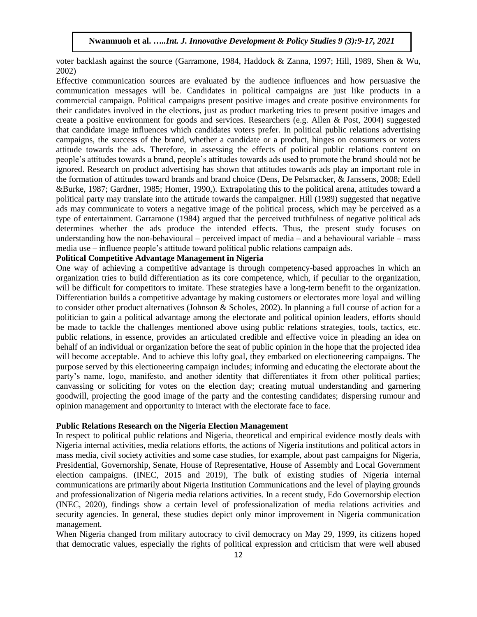voter backlash against the source (Garramone, 1984, Haddock & Zanna, 1997; Hill, 1989, Shen & Wu, 2002)

Effective communication sources are evaluated by the audience influences and how persuasive the communication messages will be. Candidates in political campaigns are just like products in a commercial campaign. Political campaigns present positive images and create positive environments for their candidates involved in the elections, just as product marketing tries to present positive images and create a positive environment for goods and services. Researchers (e.g. Allen & Post, 2004) suggested that candidate image influences which candidates voters prefer. In political public relations advertising campaigns, the success of the brand, whether a candidate or a product, hinges on consumers or voters attitude towards the ads. Therefore, in assessing the effects of political public relations content on people's attitudes towards a brand, people's attitudes towards ads used to promote the brand should not be ignored. Research on product advertising has shown that attitudes towards ads play an important role in the formation of attitudes toward brands and brand choice (Dens, De Pelsmacker, & Janssens, 2008; Edell &Burke, 1987; Gardner, 1985; Homer, 1990,). Extrapolating this to the political arena, attitudes toward a political party may translate into the attitude towards the campaigner. Hill (1989) suggested that negative ads may communicate to voters a negative image of the political process, which may be perceived as a type of entertainment. Garramone (1984) argued that the perceived truthfulness of negative political ads determines whether the ads produce the intended effects. Thus, the present study focuses on understanding how the non-behavioural – perceived impact of media – and a behavioural variable – mass media use – influence people's attitude toward political public relations campaign ads.

# **Political Competitive Advantage Management in Nigeria**

One way of achieving a competitive advantage is through competency-based approaches in which an organization tries to build differentiation as its core competence, which, if peculiar to the organization, will be difficult for competitors to imitate. These strategies have a long-term benefit to the organization. Differentiation builds a competitive advantage by making customers or electorates more loyal and willing to consider other product alternatives (Johnson & Scholes, 2002). In planning a full course of action for a politician to gain a political advantage among the electorate and political opinion leaders, efforts should be made to tackle the challenges mentioned above using public relations strategies, tools, tactics, etc. public relations, in essence, provides an articulated credible and effective voice in pleading an idea on behalf of an individual or organization before the seat of public opinion in the hope that the projected idea will become acceptable. And to achieve this lofty goal, they embarked on electioneering campaigns. The purpose served by this electioneering campaign includes; informing and educating the electorate about the party's name, logo, manifesto, and another identity that differentiates it from other political parties; canvassing or soliciting for votes on the election day; creating mutual understanding and garnering goodwill, projecting the good image of the party and the contesting candidates; dispersing rumour and opinion management and opportunity to interact with the electorate face to face.

## **Public Relations Research on the Nigeria Election Management**

In respect to political public relations and Nigeria, theoretical and empirical evidence mostly deals with Nigeria internal activities, media relations efforts, the actions of Nigeria institutions and political actors in mass media, civil society activities and some case studies, for example, about past campaigns for Nigeria, Presidential, Governorship, Senate, House of Representative, House of Assembly and Local Government election campaigns. (INEC, 2015 and 2019), The bulk of existing studies of Nigeria internal communications are primarily about Nigeria Institution Communications and the level of playing grounds and professionalization of Nigeria media relations activities. In a recent study, Edo Governorship election (INEC, 2020), findings show a certain level of professionalization of media relations activities and security agencies. In general, these studies depict only minor improvement in Nigeria communication management.

When Nigeria changed from military autocracy to civil democracy on May 29, 1999, its citizens hoped that democratic values, especially the rights of political expression and criticism that were well abused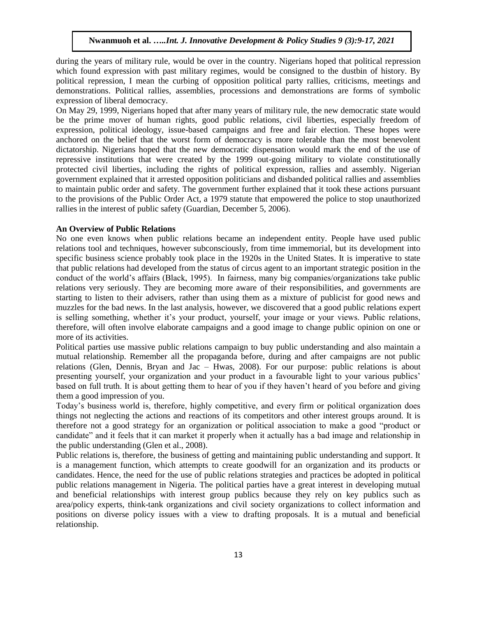during the years of military rule, would be over in the country. Nigerians hoped that political repression which found expression with past military regimes, would be consigned to the dustbin of history. By political repression, I mean the curbing of opposition political party rallies, criticisms, meetings and demonstrations. Political rallies, assemblies, processions and demonstrations are forms of symbolic expression of liberal democracy.

On May 29, 1999, Nigerians hoped that after many years of military rule, the new democratic state would be the prime mover of human rights, good public relations, civil liberties, especially freedom of expression, political ideology, issue-based campaigns and free and fair election. These hopes were anchored on the belief that the worst form of democracy is more tolerable than the most benevolent dictatorship. Nigerians hoped that the new democratic dispensation would mark the end of the use of repressive institutions that were created by the 1999 out-going military to violate constitutionally protected civil liberties, including the rights of political expression, rallies and assembly. Nigerian government explained that it arrested opposition politicians and disbanded political rallies and assemblies to maintain public order and safety. The government further explained that it took these actions pursuant to the provisions of the Public Order Act, a 1979 statute that empowered the police to stop unauthorized rallies in the interest of public safety (Guardian, December 5, 2006).

#### **An Overview of Public Relations**

No one even knows when public relations became an independent entity. People have used public relations tool and techniques, however subconsciously, from time immemorial, but its development into specific business science probably took place in the 1920s in the United States. It is imperative to state that public relations had developed from the status of circus agent to an important strategic position in the conduct of the world's affairs (Black, 1995). In fairness, many big companies/organizations take public relations very seriously. They are becoming more aware of their responsibilities, and governments are starting to listen to their advisers, rather than using them as a mixture of publicist for good news and muzzles for the bad news. In the last analysis, however, we discovered that a good public relations expert is selling something, whether it's your product, yourself, your image or your views. Public relations, therefore, will often involve elaborate campaigns and a good image to change public opinion on one or more of its activities.

Political parties use massive public relations campaign to buy public understanding and also maintain a mutual relationship. Remember all the propaganda before, during and after campaigns are not public relations (Glen, Dennis, Bryan and Jac – Hwas, 2008). For our purpose: public relations is about presenting yourself, your organization and your product in a favourable light to your various publics' based on full truth. It is about getting them to hear of you if they haven't heard of you before and giving them a good impression of you.

Today's business world is, therefore, highly competitive, and every firm or political organization does things not neglecting the actions and reactions of its competitors and other interest groups around. It is therefore not a good strategy for an organization or political association to make a good "product or candidate" and it feels that it can market it properly when it actually has a bad image and relationship in the public understanding (Glen et al., 2008).

Public relations is, therefore, the business of getting and maintaining public understanding and support. It is a management function, which attempts to create goodwill for an organization and its products or candidates. Hence, the need for the use of public relations strategies and practices be adopted in political public relations management in Nigeria. The political parties have a great interest in developing mutual and beneficial relationships with interest group publics because they rely on key publics such as area/policy experts, think-tank organizations and civil society organizations to collect information and positions on diverse policy issues with a view to drafting proposals. It is a mutual and beneficial relationship.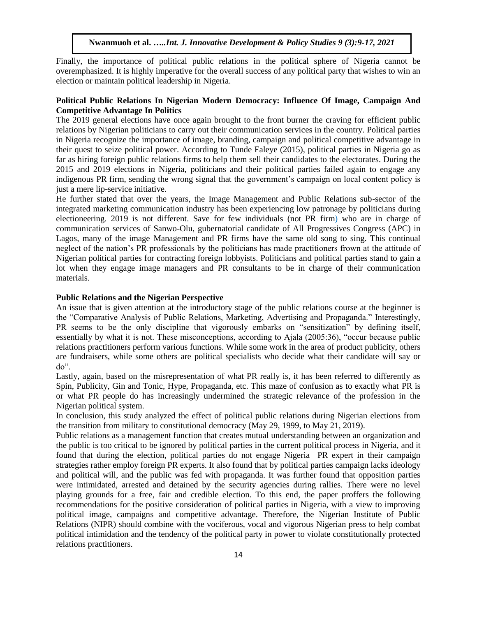Finally, the importance of political public relations in the political sphere of Nigeria cannot be overemphasized. It is highly imperative for the overall success of any political party that wishes to win an election or maintain political leadership in Nigeria.

## **Political Public Relations In Nigerian Modern Democracy: Influence Of Image, Campaign And Competitive Advantage In Politics**

The 2019 general elections have once again brought to the front burner the craving for efficient public relations by Nigerian politicians to carry out their communication services in the country. Political parties in Nigeria recognize the importance of image, branding, campaign and political competitive advantage in their quest to seize political power. According to Tunde Faleye (2015), political parties in Nigeria go as far as hiring foreign public relations firms to help them sell their candidates to the electorates. During the 2015 and 2019 elections in Nigeria, politicians and their political parties failed again to engage any indigenous PR firm, sending the wrong signal that the government's campaign on local content policy is just a mere lip-service initiative.

He further stated that over the years, the Image Management and Public Relations sub-sector of the integrated marketing communication industry has been experiencing low patronage by politicians during electioneering. 2019 is not different. Save for few individuals (not PR firm) who are in charge of communication services of Sanwo-Olu, gubernatorial candidate of All Progressives Congress (APC) in Lagos, many of the image Management and PR firms have the same old song to sing. This continual neglect of the nation's PR professionals by the politicians has made practitioners frown at the attitude of Nigerian political parties for contracting foreign lobbyists. Politicians and political parties stand to gain a lot when they engage image managers and PR consultants to be in charge of their communication materials.

### **Public Relations and the Nigerian Perspective**

An issue that is given attention at the introductory stage of the public relations course at the beginner is the "Comparative Analysis of Public Relations, Marketing, Advertising and Propaganda." Interestingly, PR seems to be the only discipline that vigorously embarks on "sensitization" by defining itself, essentially by what it is not. These misconceptions, according to Ajala (2005:36), "occur because public relations practitioners perform various functions. While some work in the area of product publicity, others are fundraisers, while some others are political specialists who decide what their candidate will say or do".

Lastly, again, based on the misrepresentation of what PR really is, it has been referred to differently as Spin, Publicity, Gin and Tonic, Hype, Propaganda, etc. This maze of confusion as to exactly what PR is or what PR people do has increasingly undermined the strategic relevance of the profession in the Nigerian political system.

In conclusion, this study analyzed the effect of political public relations during Nigerian elections from the transition from military to constitutional democracy (May 29, 1999, to May 21, 2019).

Public relations as a management function that creates mutual understanding between an organization and the public is too critical to be ignored by political parties in the current political process in Nigeria, and it found that during the election, political parties do not engage Nigeria PR expert in their campaign strategies rather employ foreign PR experts. It also found that by political parties campaign lacks ideology and political will, and the public was fed with propaganda. It was further found that opposition parties were intimidated, arrested and detained by the security agencies during rallies. There were no level playing grounds for a free, fair and credible election. To this end, the paper proffers the following recommendations for the positive consideration of political parties in Nigeria, with a view to improving political image, campaigns and competitive advantage. Therefore, the Nigerian Institute of Public Relations (NIPR) should combine with the vociferous, vocal and vigorous Nigerian press to help combat political intimidation and the tendency of the political party in power to violate constitutionally protected relations practitioners.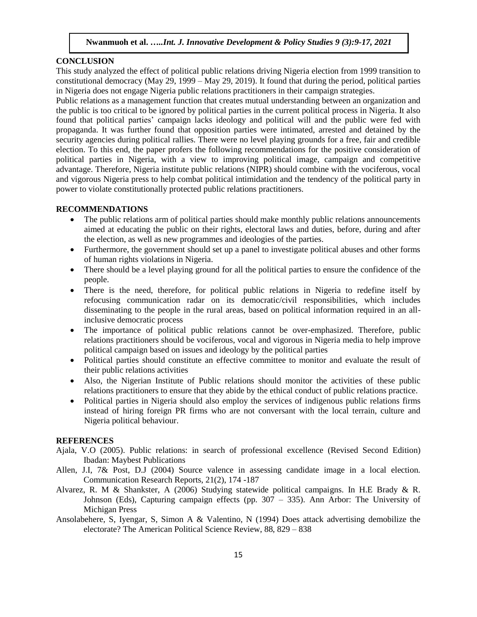## **CONCLUSION**

This study analyzed the effect of political public relations driving Nigeria election from 1999 transition to constitutional democracy (May 29, 1999 – May 29, 2019). It found that during the period, political parties in Nigeria does not engage Nigeria public relations practitioners in their campaign strategies.

Public relations as a management function that creates mutual understanding between an organization and the public is too critical to be ignored by political parties in the current political process in Nigeria. It also found that political parties' campaign lacks ideology and political will and the public were fed with propaganda. It was further found that opposition parties were intimated, arrested and detained by the security agencies during political rallies. There were no level playing grounds for a free, fair and credible election. To this end, the paper profers the following recommendations for the positive consideration of political parties in Nigeria, with a view to improving political image, campaign and competitive advantage. Therefore, Nigeria institute public relations (NIPR) should combine with the vociferous, vocal and vigorous Nigeria press to help combat political intimidation and the tendency of the political party in power to violate constitutionally protected public relations practitioners.

#### **RECOMMENDATIONS**

- The public relations arm of political parties should make monthly public relations announcements aimed at educating the public on their rights, electoral laws and duties, before, during and after the election, as well as new programmes and ideologies of the parties.
- Furthermore, the government should set up a panel to investigate political abuses and other forms of human rights violations in Nigeria.
- There should be a level playing ground for all the political parties to ensure the confidence of the people.
- There is the need, therefore, for political public relations in Nigeria to redefine itself by refocusing communication radar on its democratic/civil responsibilities, which includes disseminating to the people in the rural areas, based on political information required in an allinclusive democratic process
- The importance of political public relations cannot be over-emphasized. Therefore, public relations practitioners should be vociferous, vocal and vigorous in Nigeria media to help improve political campaign based on issues and ideology by the political parties
- Political parties should constitute an effective committee to monitor and evaluate the result of their public relations activities
- Also, the Nigerian Institute of Public relations should monitor the activities of these public relations practitioners to ensure that they abide by the ethical conduct of public relations practice.
- Political parties in Nigeria should also employ the services of indigenous public relations firms instead of hiring foreign PR firms who are not conversant with the local terrain, culture and Nigeria political behaviour.

### **REFERENCES**

- Ajala, V.O (2005). Public relations: in search of professional excellence (Revised Second Edition) Ibadan: Maybest Publications
- Allen, J.I, 7& Post, D.J (2004) Source valence in assessing candidate image in a local election. Communication Research Reports, 21(2), 174 -187
- Alvarez, R. M & Shankster, A (2006) Studying statewide political campaigns. In H.E Brady & R. Johnson (Eds), Capturing campaign effects (pp. 307 – 335). Ann Arbor: The University of Michigan Press
- Ansolabehere, S, Iyengar, S, Simon A & Valentino, N (1994) Does attack advertising demobilize the electorate? The American Political Science Review, 88, 829 – 838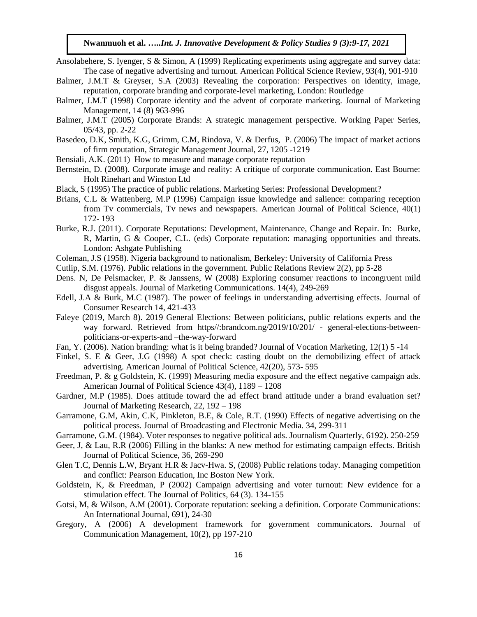- Ansolabehere, S. Iyenger, S & Simon, A (1999) Replicating experiments using aggregate and survey data: The case of negative advertising and turnout. American Political Science Review, 93(4), 901-910
- Balmer, J.M.T & Greyser, S.A (2003) Revealing the corporation: Perspectives on identity, image, reputation, corporate branding and corporate-level marketing, London: Routledge
- Balmer, J.M.T (1998) Corporate identity and the advent of corporate marketing. Journal of Marketing Management, 14 (8) 963-996
- Balmer, J.M.T (2005) Corporate Brands: A strategic management perspective. Working Paper Series, 05/43, pp. 2-22
- Basedeo, D.K, Smith, K.G, Grimm, C.M, Rindova, V. & Derfus, P. (2006) The impact of market actions of firm reputation, Strategic Management Journal, 27, 1205 -1219
- Bensiali, A.K. (2011) How to measure and manage corporate reputation
- Bernstein, D. (2008). Corporate image and reality: A critique of corporate communication. East Bourne: Holt Rinehart and Winston Ltd
- Black, S (1995) The practice of public relations. Marketing Series: Professional Development?
- Brians, C.L & Wattenberg, M.P (1996) Campaign issue knowledge and salience: comparing reception from Tv commercials, Tv news and newspapers. American Journal of Political Science, 40(1) 172- 193
- Burke, R.J. (2011). Corporate Reputations: Development, Maintenance, Change and Repair. In: Burke, R, Martin, G & Cooper, C.L. (eds) Corporate reputation: managing opportunities and threats. London: Ashgate Publishing
- Coleman, J.S (1958). Nigeria background to nationalism, Berkeley: University of California Press
- Cutlip, S.M. (1976). Public relations in the government. Public Relations Review 2(2), pp 5-28
- Dens. N, De Pelsmacker, P. & Janssens, W (2008) Exploring consumer reactions to incongruent mild disgust appeals. Journal of Marketing Communications. 14(4), 249-269
- Edell, J.A & Burk, M.C (1987). The power of feelings in understanding advertising effects. Journal of Consumer Research 14, 421-433
- Faleye (2019, March 8). 2019 General Elections: Between politicians, public relations experts and the way forward. Retrieved from https//:brandcom.ng/2019/10/201/ - general-elections-betweenpoliticians-or-experts-and –the-way-forward
- Fan, Y. (2006). Nation branding: what is it being branded? Journal of Vocation Marketing, 12(1) 5 -14
- Finkel, S. E & Geer, J.G (1998) A spot check: casting doubt on the demobilizing effect of attack advertising. American Journal of Political Science, 42(20), 573- 595
- Freedman, P. & g Goldstein, K. (1999) Measuring media exposure and the effect negative campaign ads. American Journal of Political Science 43(4), 1189 – 1208
- Gardner, M.P (1985). Does attitude toward the ad effect brand attitude under a brand evaluation set? Journal of Marketing Research, 22, 192 – 198
- Garramone, G.M, Akin, C.K, Pinkleton, B.E, & Cole, R.T. (1990) Effects of negative advertising on the political process. Journal of Broadcasting and Electronic Media. 34, 299-311
- Garramone, G.M. (1984). Voter responses to negative political ads. Journalism Quarterly, 6192). 250-259
- Geer, J, & Lau, R.R (2006) Filling in the blanks: A new method for estimating campaign effects. British Journal of Political Science, 36, 269-290
- Glen T.C, Dennis L.W, Bryant H.R & Jacv-Hwa. S, (2008) Public relations today. Managing competition and conflict: Pearson Education, Inc Boston New York.
- Goldstein, K, & Freedman, P (2002) Campaign advertising and voter turnout: New evidence for a stimulation effect. The Journal of Politics, 64 (3). 134-155
- Gotsi, M, & Wilson, A.M (2001). Corporate reputation: seeking a definition. Corporate Communications: An International Journal, 691), 24-30
- Gregory, A (2006) A development framework for government communicators. Journal of Communication Management, 10(2), pp 197-210